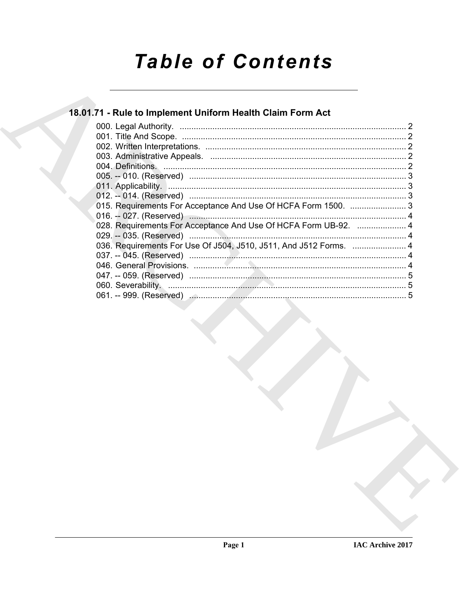# **Table of Contents**

# 18.01.71 - Rule to Implement Uniform Health Claim Form Act

| 015. Requirements For Acceptance And Use Of HCFA Form 1500.  3    |
|-------------------------------------------------------------------|
|                                                                   |
| 028. Requirements For Acceptance And Use Of HCFA Form UB-92.  4   |
|                                                                   |
| 036. Requirements For Use Of J504, J510, J511, And J512 Forms.  4 |
|                                                                   |
|                                                                   |
|                                                                   |
|                                                                   |
|                                                                   |
|                                                                   |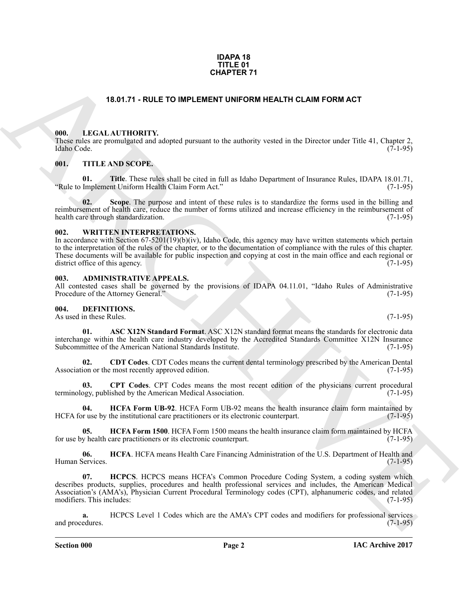#### **IDAPA 18 TITLE 01 CHAPTER 71**

# **18.01.71 - RULE TO IMPLEMENT UNIFORM HEALTH CLAIM FORM ACT**

# <span id="page-1-1"></span><span id="page-1-0"></span>**000. LEGAL AUTHORITY.**

These rules are promulgated and adopted pursuant to the authority vested in the Director under Title 41, Chapter 2, Idaho Code. (7-1-95) Idaho Code. (7-1-95)

# <span id="page-1-2"></span>**001. TITLE AND SCOPE.**

**01. Title**. These rules shall be cited in full as Idaho Department of Insurance Rules, IDAPA 18.01.71, "Rule to Implement Uniform Health Claim Form Act."

**02. Scope**. The purpose and intent of these rules is to standardize the forms used in the billing and reimbursement of health care, reduce the number of forms utilized and increase efficiency in the reimbursement of health care through standardization. (7-1-95)

### <span id="page-1-3"></span>**002. WRITTEN INTERPRETATIONS.**

In accordance with Section 67-5201(19)(b)(iv), Idaho Code, this agency may have written statements which pertain to the interpretation of the rules of the chapter, or to the documentation of compliance with the rules of this chapter. These documents will be available for public inspection and copying at cost in the main office and each regional or district office of this agency. district office of this agency.

### <span id="page-1-4"></span>**003. ADMINISTRATIVE APPEALS.**

All contested cases shall be governed by the provisions of IDAPA 04.11.01, "Idaho Rules of Administrative Procedure of the Attorney General." (7-1-95)

# <span id="page-1-6"></span><span id="page-1-5"></span>**004. DEFINITIONS.**

As used in these Rules. (7-1-95)

<span id="page-1-7"></span>**01. ASC X12N Standard Format**. ASC X12N standard format means the standards for electronic data interchange within the health care industry developed by the Accredited Standards Committee X12N Insurance Subcommittee of the American National Standards Institute.

<span id="page-1-8"></span>**02. CDT Codes**. CDT Codes means the current dental terminology prescribed by the American Dental ion or the most recently approved edition. (7-1-95) Association or the most recently approved edition.

<span id="page-1-9"></span>**CPT Codes**. CPT Codes means the most recent edition of the physicians current procedural ished by the American Medical Association. (7-1-95) terminology, published by the American Medical Association.

<span id="page-1-12"></span>**04. HCFA Form UB-92**. HCFA Form UB-92 means the health insurance claim form maintained by r use by the institutional care practitioners or its electronic counterpart. (7-1-95) HCFA for use by the institutional care practitioners or its electronic counterpart.

<span id="page-1-11"></span>**DEFA Form 1500**. HCFA Form 1500 means the health insurance claim form maintained by HCFA care practitioners or its electronic counterpart. (7-1-95) for use by health care practitioners or its electronic counterpart.

<span id="page-1-13"></span><span id="page-1-10"></span>**06. HCFA**. HCFA means Health Care Financing Administration of the U.S. Department of Health and Vervices Human Services.

**CHAPTER 71**<br>
18.01.71 - ROLE TO IMPLEMENT UNIFORM HEALTH CLAIM FORM ACT<br>
19.1.1. LITTLE AND SCOTE<br>
19.1. LITTLE AND SCOTE:<br>
19.1. TITLE AND SCOTE:<br>
19.1. TITLE AND SCOTE:<br>
19.1. TITLE AND SCOTE:<br>
19.1. TITLE AND SCOTE:<br> **07. HCPCS**. HCPCS means HCFA's Common Procedure Coding System, a coding system which describes products, supplies, procedures and health professional services and includes, the American Medical Association's (AMA's), Physician Current Procedural Terminology codes (CPT), alphanumeric codes, and related modifiers. This includes:

**a.** HCPCS Level 1 Codes which are the AMA's CPT codes and modifiers for professional services and procedures.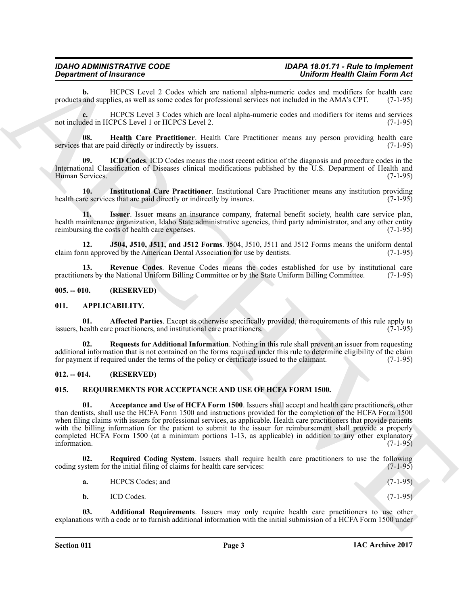# *IDAHO ADMINISTRATIVE CODE IDAPA 18.01.71 - Rule to Implement Uniform Health Claim Form Act*

**b.** HCPCS Level 2 Codes which are national alpha-numeric codes and modifiers for health care and supplies, as well as some codes for professional services not included in the AMA's CPT. (7-1-95) products and supplies, as well as some codes for professional services not included in the AMA's CPT.

**c.** HCPCS Level 3 Codes which are local alpha-numeric codes and modifiers for items and services not included in HCPCS Level 1 or HCPCS Level 2. (7-1-95)

<span id="page-2-7"></span>**08. Health Care Practitioner**. Health Care Practitioner means any person providing health care services that are paid directly or indirectly by issuers. (7-1-95)

<span id="page-2-8"></span>**09. ICD Codes**. ICD Codes means the most recent edition of the diagnosis and procedure codes in the International Classification of Diseases clinical modifications published by the U.S. Department of Health and Human Services.

<span id="page-2-9"></span>**10. Institutional Care Practitioner**. Institutional Care Practitioner means any institution providing health care services that are paid directly or indirectly by insures. (7-1-95)

<span id="page-2-10"></span>**11. Issuer**. Issuer means an insurance company, fraternal benefit society, health care service plan, health maintenance organization, Idaho State administrative agencies, third party administrator, and any other entity reimbursing the costs of health care expenses. (7-1-95)

<span id="page-2-11"></span>**12. J504, J510, J511, and J512 Forms**. J504, J510, J511 and J512 Forms means the uniform dental claim form approved by the American Dental Association for use by dentists.

<span id="page-2-12"></span>**13. Revenue Codes**. Revenue Codes means the codes established for use by institutional care practitioners by the National Uniform Billing Committee or by the State Uniform Billing Committee. (7-1-95)

# <span id="page-2-0"></span>**005. -- 010. (RESERVED)**

# <span id="page-2-4"></span><span id="page-2-1"></span>**011. APPLICABILITY.**

<span id="page-2-5"></span>**01. Affected Parties**. Except as otherwise specifically provided, the requirements of this rule apply to realth care practitioners, and institutional care practitioners. (7-1-95) issuers, health care practitioners, and institutional care practitioners.

<span id="page-2-6"></span>**02. Requests for Additional Information**. Nothing in this rule shall prevent an issuer from requesting additional information that is not contained on the forms required under this rule to determine eligibility of the claim for payment if required under the terms of the policy or certificate issued to the claimant. (7-1-95)

# <span id="page-2-2"></span>**012. -- 014. (RESERVED)**

# <span id="page-2-14"></span><span id="page-2-13"></span><span id="page-2-3"></span>**015. REQUIREMENTS FOR ACCEPTANCE AND USE OF HCFA FORM 1500.**

**Equivariant of Finding Construction** (and not the set of the set of the set of the set of the set of the set of the set of the set of the set of the set of the set of the set of the set of the set of the set of the set o **01. Acceptance and Use of HCFA Form 1500**. Issuers shall accept and health care practitioners, other than dentists, shall use the HCFA Form 1500 and instructions provided for the completion of the HCFA Form 1500 when filing claims with issuers for professional services, as applicable. Health care practitioners that provide patients with the billing information for the patient to submit to the issuer for reimbursement shall provide a properly completed HCFA Form 1500 (at a minimum portions 1-13, as applicable) in addition to any other explanatory information. (7-1-95) information. (7-1-95)

**02.** Required Coding System. Issuers shall require health care practitioners to use the following vector for the initial filing of claims for health care services: coding system for the initial filing of claims for health care services:

- <span id="page-2-16"></span>**a.** HCPCS Codes; and (7-1-95)
	-

<span id="page-2-15"></span>**b.** ICD Codes. (7-1-95)

**03. Additional Requirements**. Issuers may only require health care practitioners to use other explanations with a code or to furnish additional information with the initial submission of a HCFA Form 1500 under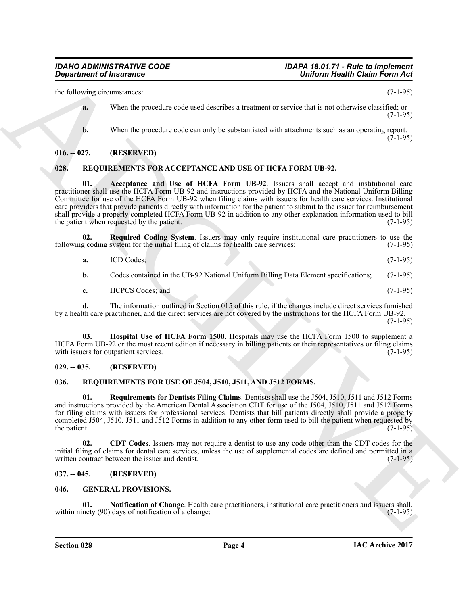the following circumstances: (7-1-95)

- **a.** When the procedure code used describes a treatment or service that is not otherwise classified; or  $(7-1-95)$
- <span id="page-3-9"></span>**b.** When the procedure code can only be substantiated with attachments such as an operating report.  $(7-1-95)$

# <span id="page-3-0"></span>**016. -- 027. (RESERVED)**

# <span id="page-3-8"></span><span id="page-3-1"></span>**028. REQUIREMENTS FOR ACCEPTANCE AND USE OF HCFA FORM UB-92.**

**Experiment of Insurance Control is the UKA Premier of the UKA Premier of the UKA Premier Control is the UKA Premier of the UKA Premier of the UKA Premier Control is the UKA Premier of the UKA Premier Control is the UKA P 01. Acceptance and Use of HCFA Form UB-92**. Issuers shall accept and institutional care practitioner shall use the HCFA Form UB-92 and instructions provided by HCFA and the National Uniform Billing Committee for use of the HCFA Form UB-92 when filing claims with issuers for health care services. Institutional care providers that provide patients directly with information for the patient to submit to the issuer for reimbursement shall provide a properly completed HCFA Form UB-92 in addition to any other explanation information used to bill<br>the patient when requested by the patient. (7-1-95) the patient when requested by the patient.

**02. Required Coding System**. Issuers may only require institutional care practitioners to use the goding system for the initial filing of claims for health care services: (7-1-95) following coding system for the initial filing of claims for health care services:

<span id="page-3-11"></span>

| а. | ICD Codes; |  | $(7-1-95)$ |
|----|------------|--|------------|
|    |            |  |            |

- **b.** Codes contained in the UB-92 National Uniform Billing Data Element specifications; (7-1-95)
- <span id="page-3-10"></span>**c.** HCPCS Codes; and (7-1-95)

**d.** The information outlined in Section 015 of this rule, if the charges include direct services furnished by a health care practitioner, and the direct services are not covered by the instructions for the HCFA Form UB-92.  $(7-1-95)$ 

**03. Hospital Use of HCFA Form 1500**. Hospitals may use the HCFA Form 1500 to supplement a HCFA Form UB-92 or the most recent edition if necessary in billing patients or their representatives or filing claims with issuers for outpatient services. (7-1-95) with issuers for outpatient services.

# <span id="page-3-2"></span>**029. -- 035. (RESERVED)**

# <span id="page-3-12"></span><span id="page-3-3"></span>**036. REQUIREMENTS FOR USE OF J504, J510, J511, AND J512 FORMS.**

<span id="page-3-14"></span>**01. Requirements for Dentists Filing Claims**. Dentists shall use the J504, J510, J511 and J512 Forms and instructions provided by the American Dental Association CDT for use of the J504, J510, J511 and J512 Forms for filing claims with issuers for professional services. Dentists that bill patients directly shall provide a properly completed J504, J510, J511 and J512 Forms in addition to any other form used to bill the patient when requested by the patient. (7-1-95) the patient.  $(7-1-95)$ 

<span id="page-3-13"></span>**02. CDT Codes**. Issuers may not require a dentist to use any code other than the CDT codes for the initial filing of claims for dental care services, unless the use of supplemental codes are defined and permitted in a written contract between the issuer and dentist. (7-1-95)

# <span id="page-3-4"></span>**037. -- 045. (RESERVED)**

# <span id="page-3-6"></span><span id="page-3-5"></span>**046. GENERAL PROVISIONS.**

<span id="page-3-7"></span>**01.** Notification of Change. Health care practitioners, institutional care practitioners and issuers shall, nety (90) days of notification of a change: within ninety (90) days of notification of a change: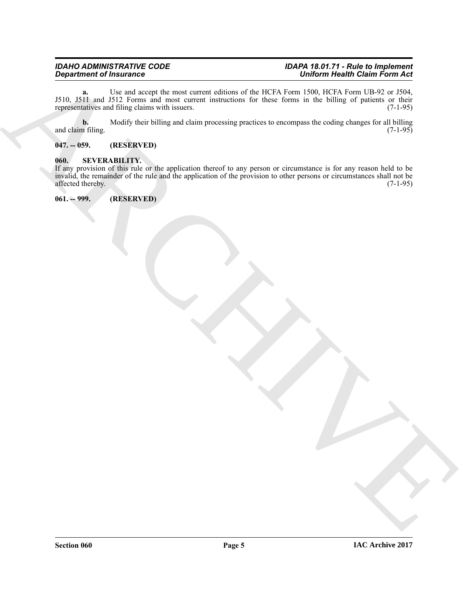**a.** Use and accept the most current editions of the HCFA Form 1500, HCFA Form UB-92 or J504, J510, J511 and J512 Forms and most current instructions for these forms in the billing of patients or their representatives and filing claims with issuers. (7-1-95) representatives and filing claims with issuers.

**b.** Modify their billing and claim processing practices to encompass the coding changes for all billing (7-1-95) (7-1-95) and claim filing.

# <span id="page-4-0"></span>**047. -- 059. (RESERVED)**

# <span id="page-4-1"></span>**060. SEVERABILITY.**

Department of financial control the nuncleus side of the MCM simulation field of the Home Asia (2) and the server of the MCM simulation of the MCM simulation of the MCM simulation of the MCM simulation of the MCM simulati If any provision of this rule or the application thereof to any person or circumstance is for any reason held to be invalid, the remainder of the rule and the application of the provision to other persons or circumstances shall not be affected thereby.

<span id="page-4-2"></span>**061. -- 999. (RESERVED)**